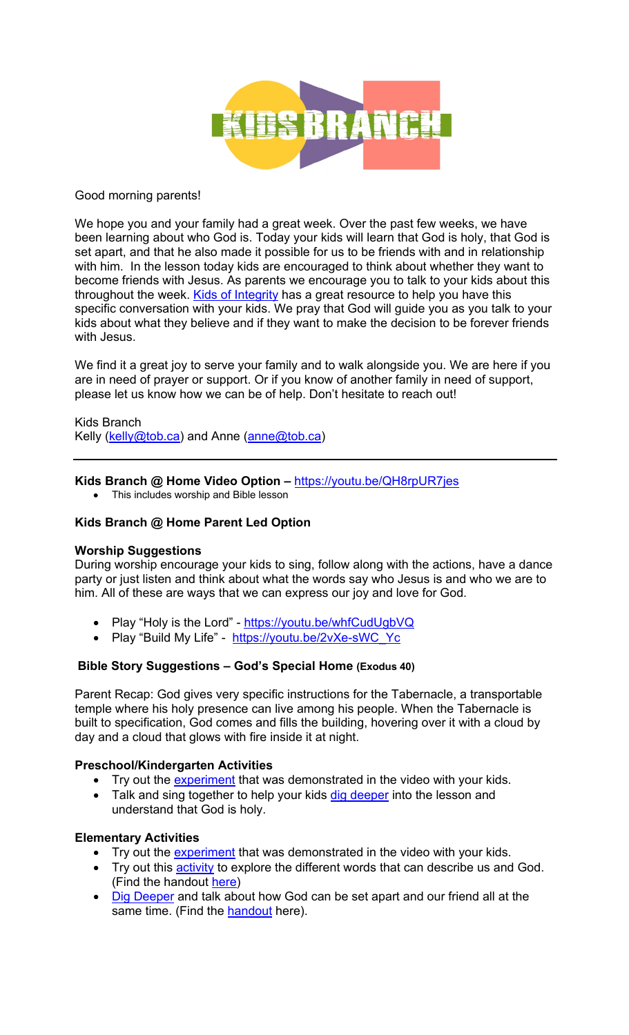

#### Good morning parents!

We hope you and your family had a great week. Over the past few weeks, we have been learning about who God is. Today your kids will learn that God is holy, that God is set apart, and that he also made it possible for us to be friends with and in relationship with him. In the lesson today kids are encouraged to think about whether they want to become friends with Jesus. As parents we encourage you to talk to your kids about this throughout the week. Kids of Integrity has a great resource to help you have this specific conversation with your kids. We pray that God will guide you as you talk to your kids about what they believe and if they want to make the decision to be forever friends with Jesus.

We find it a great joy to serve your family and to walk alongside you. We are here if you are in need of prayer or support. Or if you know of another family in need of support, please let us know how we can be of help. Don't hesitate to reach out!

Kids Branch Kelly (kelly@tob.ca) and Anne (anne@tob.ca)

#### **Kids Branch @ Home Video Option –** https://youtu.be/QH8rpUR7jes

• This includes worship and Bible lesson

## **Kids Branch @ Home Parent Led Option**

## **Worship Suggestions**

During worship encourage your kids to sing, follow along with the actions, have a dance party or just listen and think about what the words say who Jesus is and who we are to him. All of these are ways that we can express our joy and love for God.

- Play "Holy is the Lord" https://youtu.be/whfCudUgbVQ
- Play "Build My Life" https://youtu.be/2vXe-sWC\_Yc

## **Bible Story Suggestions – God's Special Home (Exodus 40)**

Parent Recap: God gives very specific instructions for the Tabernacle, a transportable temple where his holy presence can live among his people. When the Tabernacle is built to specification, God comes and fills the building, hovering over it with a cloud by day and a cloud that glows with fire inside it at night.

## **Preschool/Kindergarten Activities**

- Try out the experiment that was demonstrated in the video with your kids.
- Talk and sing together to help your kids dig deeper into the lesson and understand that God is holy.

## **Elementary Activities**

- Try out the experiment that was demonstrated in the video with your kids.
- Try out this **activity** to explore the different words that can describe us and God. (Find the handout here)
- Dig Deeper and talk about how God can be set apart and our friend all at the same time. (Find the handout here).